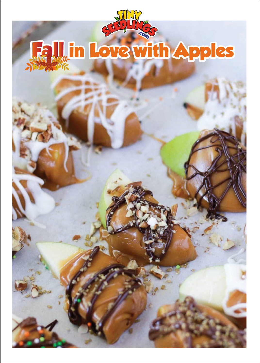